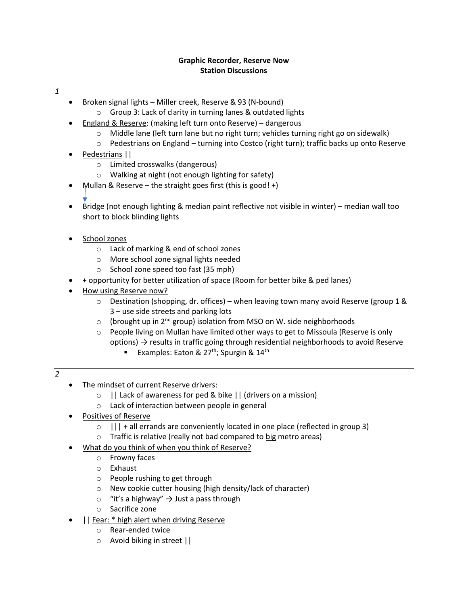## **Graphic Recorder, Reserve Now Station Discussions**

### *1*

- Broken signal lights Miller creek, Reserve & 93 (N-bound)
	- o Group 3: Lack of clarity in turning lanes & outdated lights
- England & Reserve: (making left turn onto Reserve) dangerous
	- $\circ$  Middle lane (left turn lane but no right turn; vehicles turning right go on sidewalk)
	- o Pedestrians on England turning into Costco (right turn); traffic backs up onto Reserve
- Pedestrians ||
	- o Limited crosswalks (dangerous)
	- o Walking at night (not enough lighting for safety)
- Mullan & Reserve the straight goes first (this is good!  $+$ )
- 
- Bridge (not enough lighting & median paint reflective not visible in winter) median wall too short to block blinding lights
- School zones
	- o Lack of marking & end of school zones
	- o More school zone signal lights needed
	- o School zone speed too fast (35 mph)
- + opportunity for better utilization of space (Room for better bike & ped lanes)
- How using Reserve now?
	- $\circ$  Destination (shopping, dr. offices) when leaving town many avoid Reserve (group 1 & 3 – use side streets and parking lots
	- $\circ$  (brought up in 2<sup>nd</sup> group) isolation from MSO on W. side neighborhoods
	- o People living on Mullan have limited other ways to get to Missoula (Reserve is only options)  $\rightarrow$  results in traffic going through residential neighborhoods to avoid Reserve
		- **Examples: Eaton & 27<sup>th</sup>; Spurgin & 14<sup>th</sup>**

# *2*

- The mindset of current Reserve drivers:
	- o || Lack of awareness for ped & bike || (drivers on a mission)
	- o Lack of interaction between people in general
- Positives of Reserve
	- $\circ$  ||| + all errands are conveniently located in one place (reflected in group 3)
	- $\circ$  Traffic is relative (really not bad compared to big metro areas)
- What do you think of when you think of Reserve?
	- o Frowny faces
	- o Exhaust
	- o People rushing to get through
	- o New cookie cutter housing (high density/lack of character)
	- $\circ$  "it's a highway"  $\rightarrow$  Just a pass through
	- o Sacrifice zone
- || Fear: \* high alert when driving Reserve
	- o Rear-ended twice
	- o Avoid biking in street ||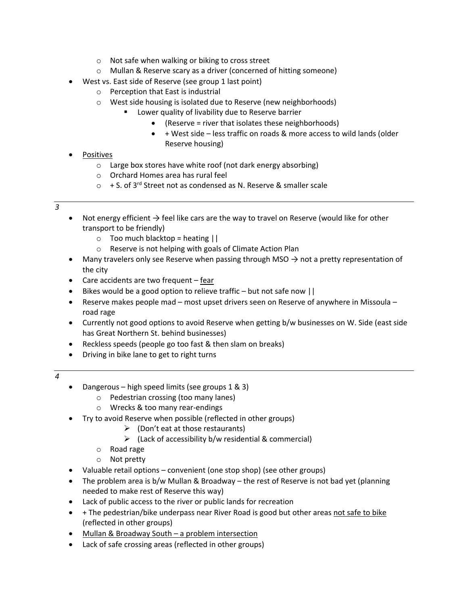- o Not safe when walking or biking to cross street
- o Mullan & Reserve scary as a driver (concerned of hitting someone)
- West vs. East side of Reserve (see group 1 last point)
	- o Perception that East is industrial
	- o West side housing is isolated due to Reserve (new neighborhoods)
		- Lower quality of livability due to Reserve barrier
			- (Reserve = river that isolates these neighborhoods)
			- + West side less traffic on roads & more access to wild lands (older Reserve housing)
- Positives
	- o Large box stores have white roof (not dark energy absorbing)
	- o Orchard Homes area has rural feel
	- $\circ$  + S. of 3<sup>rd</sup> Street not as condensed as N. Reserve & smaller scale

#### *3*

- Not energy efficient  $\rightarrow$  feel like cars are the way to travel on Reserve (would like for other transport to be friendly)
	- $\circ$  Too much blacktop = heating  $||$
	- o Reserve is not helping with goals of Climate Action Plan
- Many travelers only see Reserve when passing through MSO  $\rightarrow$  not a pretty representation of the city
- Care accidents are two frequent fear
- Bikes would be a good option to relieve traffic but not safe now  $||$
- Reserve makes people mad most upset drivers seen on Reserve of anywhere in Missoula road rage
- Currently not good options to avoid Reserve when getting b/w businesses on W. Side (east side has Great Northern St. behind businesses)
- Reckless speeds (people go too fast & then slam on breaks)
- Driving in bike lane to get to right turns
- *4*
- Dangerous high speed limits (see groups 1 & 3)
	- o Pedestrian crossing (too many lanes)
	- o Wrecks & too many rear-endings
- Try to avoid Reserve when possible (reflected in other groups)
	- $\triangleright$  (Don't eat at those restaurants)
	- $\triangleright$  (Lack of accessibility b/w residential & commercial)
	- o Road rage
	- o Not pretty
- Valuable retail options convenient (one stop shop) (see other groups)
- The problem area is b/w Mullan & Broadway the rest of Reserve is not bad yet (planning needed to make rest of Reserve this way)
- Lack of public access to the river or public lands for recreation
- + The pedestrian/bike underpass near River Road is good but other areas not safe to bike (reflected in other groups)
- Mullan & Broadway South a problem intersection
- Lack of safe crossing areas (reflected in other groups)